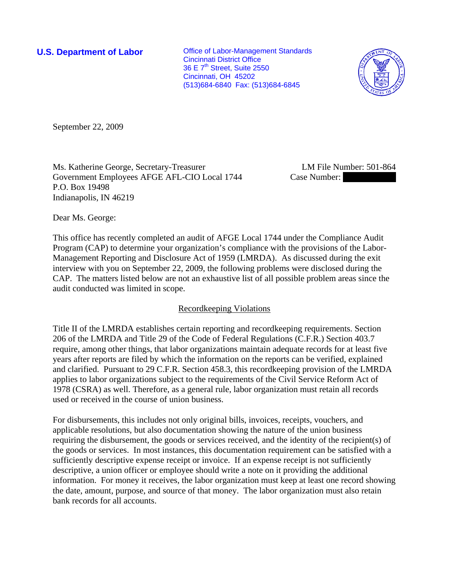**U.S. Department of Labor Conservative Conservative Conservative U.S. Department of Labor** Cincinnati District Office 36 E 7<sup>th</sup> Street, Suite 2550 Cincinnati, OH 45202 (513)684-6840 Fax: (513)684-6845



September 22, 2009

Ms. Katherine George, Secretary-Treasurer LM File Number: 501-864 Government Employees AFGE AFL-CIO Local 1744 Case Number: P.O. Box 19498 Indianapolis, IN 46219

Dear Ms. George:

This office has recently completed an audit of AFGE Local 1744 under the Compliance Audit Program (CAP) to determine your organization's compliance with the provisions of the Labor-Management Reporting and Disclosure Act of 1959 (LMRDA). As discussed during the exit interview with you on September 22, 2009, the following problems were disclosed during the CAP. The matters listed below are not an exhaustive list of all possible problem areas since the audit conducted was limited in scope.

## Recordkeeping Violations

Title II of the LMRDA establishes certain reporting and recordkeeping requirements. Section 206 of the LMRDA and Title 29 of the Code of Federal Regulations (C.F.R.) Section 403.7 require, among other things, that labor organizations maintain adequate records for at least five years after reports are filed by which the information on the reports can be verified, explained and clarified. Pursuant to 29 C.F.R. Section 458.3, this recordkeeping provision of the LMRDA applies to labor organizations subject to the requirements of the Civil Service Reform Act of 1978 (CSRA) as well. Therefore, as a general rule, labor organization must retain all records used or received in the course of union business.

For disbursements, this includes not only original bills, invoices, receipts, vouchers, and applicable resolutions, but also documentation showing the nature of the union business requiring the disbursement, the goods or services received, and the identity of the recipient(s) of the goods or services. In most instances, this documentation requirement can be satisfied with a sufficiently descriptive expense receipt or invoice. If an expense receipt is not sufficiently descriptive, a union officer or employee should write a note on it providing the additional information. For money it receives, the labor organization must keep at least one record showing the date, amount, purpose, and source of that money. The labor organization must also retain bank records for all accounts.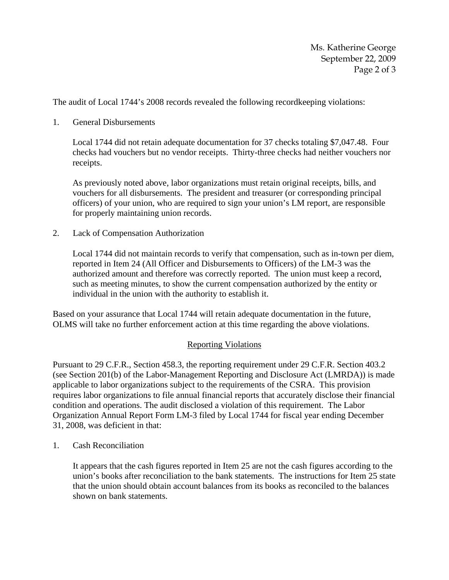The audit of Local 1744's 2008 records revealed the following recordkeeping violations:

## 1. General Disbursements

Local 1744 did not retain adequate documentation for 37 checks totaling \$7,047.48. Four checks had vouchers but no vendor receipts. Thirty-three checks had neither vouchers nor receipts.

As previously noted above, labor organizations must retain original receipts, bills, and vouchers for all disbursements. The president and treasurer (or corresponding principal officers) of your union, who are required to sign your union's LM report, are responsible for properly maintaining union records.

2. Lack of Compensation Authorization

Local 1744 did not maintain records to verify that compensation, such as in-town per diem, reported in Item 24 (All Officer and Disbursements to Officers) of the LM-3 was the authorized amount and therefore was correctly reported. The union must keep a record, such as meeting minutes, to show the current compensation authorized by the entity or individual in the union with the authority to establish it.

Based on your assurance that Local 1744 will retain adequate documentation in the future, OLMS will take no further enforcement action at this time regarding the above violations.

## Reporting Violations

Pursuant to 29 C.F.R., Section 458.3, the reporting requirement under 29 C.F.R. Section 403.2 (see Section 201(b) of the Labor-Management Reporting and Disclosure Act (LMRDA)) is made applicable to labor organizations subject to the requirements of the CSRA. This provision requires labor organizations to file annual financial reports that accurately disclose their financial condition and operations. The audit disclosed a violation of this requirement. The Labor Organization Annual Report Form LM-3 filed by Local 1744 for fiscal year ending December 31, 2008, was deficient in that:

1. Cash Reconciliation

It appears that the cash figures reported in Item 25 are not the cash figures according to the union's books after reconciliation to the bank statements. The instructions for Item 25 state that the union should obtain account balances from its books as reconciled to the balances shown on bank statements.